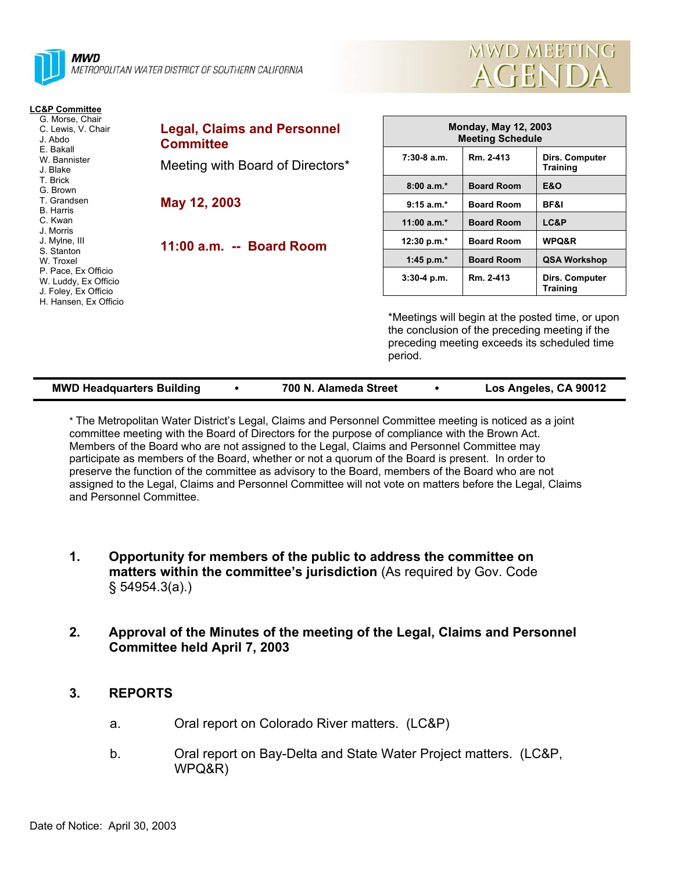

# **LC&P Committee**

| G. Morse, Chair<br>C. Lewis, V. Chair<br>J. Abdo<br>E. Bakall                                                                            | <b>Legal, Claims and Personnel</b><br><b>Committee</b> |  |
|------------------------------------------------------------------------------------------------------------------------------------------|--------------------------------------------------------|--|
| W. Bannister<br>J. Blake<br>T. Brick<br>G. Brown                                                                                         | Meeting with Board of Directors*                       |  |
| T. Grandsen<br>B. Harris<br>C. Kwan<br>J. Morris                                                                                         | May 12, 2003                                           |  |
| J. Mylne, III<br>S. Stanton<br>W. Troxel<br>P. Pace, Ex Officio<br>W. Luddy, Ex Officio<br>J. Foley, Ex Officio<br>H. Hansen, Ex Officio | 11:00 a.m. -- Board Room                               |  |

| <b>Monday, May 12, 2003</b><br><b>Meeting Schedule</b> |                   |                                   |  |  |  |
|--------------------------------------------------------|-------------------|-----------------------------------|--|--|--|
| $7:30-8$ a.m.                                          | Rm. 2-413         | Dirs. Computer<br><b>Training</b> |  |  |  |
| $8:00a.m.*$                                            | <b>Board Room</b> | E&O                               |  |  |  |
| $9:15 a.m.*$                                           | <b>Board Room</b> | BF&I                              |  |  |  |
| $11:00 a.m.*$                                          | <b>Board Room</b> | <b>LC&amp;P</b>                   |  |  |  |
| 12:30 p.m. $*$                                         | <b>Board Room</b> | <b>WPQ&amp;R</b>                  |  |  |  |
| 1:45 p.m. $*$                                          | <b>Board Room</b> | <b>QSA Workshop</b>               |  |  |  |
| $3:30-4$ p.m.                                          | Rm. 2-413         | Dirs. Computer<br>Training        |  |  |  |

MWD MEETING

**AGENDA** 

\*Meetings will begin at the posted time, or upon the conclusion of the preceding meeting if the preceding meeting exceeds its scheduled time period.

| <b>MWD Headquarters Building</b> |  | 700 N. Alameda Street |  | Los Angeles, CA 90012 |
|----------------------------------|--|-----------------------|--|-----------------------|
|----------------------------------|--|-----------------------|--|-----------------------|

\* The Metropolitan Water District's Legal, Claims and Personnel Committee meeting is noticed as a joint committee meeting with the Board of Directors for the purpose of compliance with the Brown Act. Members of the Board who are not assigned to the Legal, Claims and Personnel Committee may participate as members of the Board, whether or not a quorum of the Board is present. In order to preserve the function of the committee as advisory to the Board, members of the Board who are not assigned to the Legal, Claims and Personnel Committee will not vote on matters before the Legal, Claims and Personnel Committee.

- **1. Opportunity for members of the public to address the committee on matters within the committee's jurisdiction** (As required by Gov. Code § 54954.3(a).)
- **2. Approval of the Minutes of the meeting of the Legal, Claims and Personnel Committee held April 7, 2003**

#### **3. REPORTS**

- a. Oral report on Colorado River matters. (LC&P)
- b. Oral report on Bay-Delta and State Water Project matters. (LC&P, WPQ&R)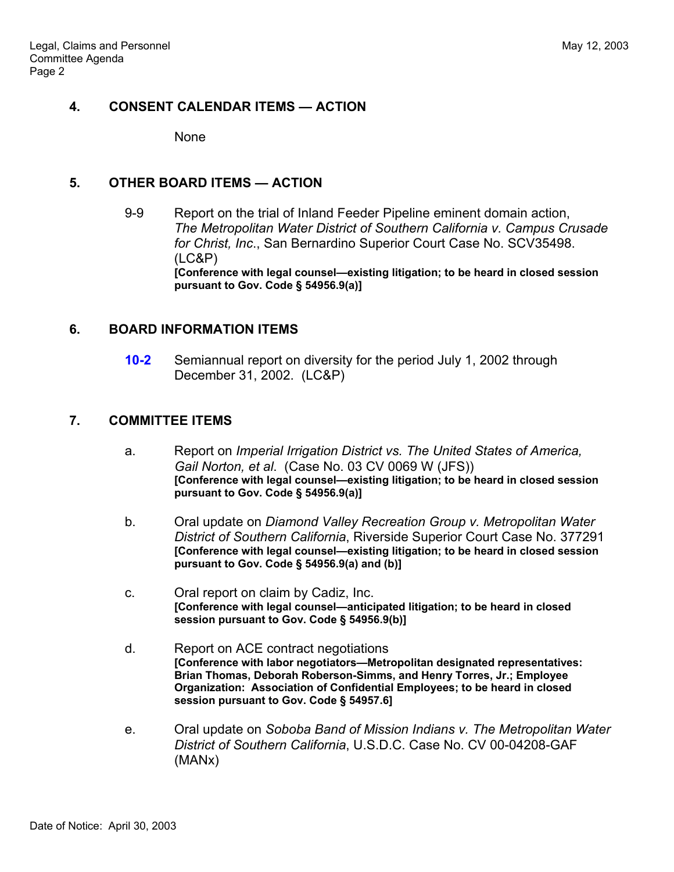## **4. CONSENT CALENDAR ITEMS — ACTION**

None

#### **5. OTHER BOARD ITEMS — ACTION**

 9-9 Report on the trial of Inland Feeder Pipeline eminent domain action, *The Metropolitan Water District of Southern California v. Campus Crusade for Christ, Inc*., San Bernardino Superior Court Case No. SCV35498. (LC&P) **[Conference with legal counsel—existing litigation; to be heard in closed session pursuant to Gov. Code § 54956.9(a)]**

#### **6. BOARD INFORMATION ITEMS**

**10-2** Semiannual report on diversity for the period July 1, 2002 through December 31, 2002. (LC&P)

## **7. COMMITTEE ITEMS**

- a. Report on *Imperial Irrigation District vs. The United States of America, Gail Norton, et al*. (Case No. 03 CV 0069 W (JFS)) **[Conference with legal counsel—existing litigation; to be heard in closed session pursuant to Gov. Code § 54956.9(a)]**
- b. Oral update on *Diamond Valley Recreation Group v. Metropolitan Water District of Southern California*, Riverside Superior Court Case No. 377291 **[Conference with legal counsel—existing litigation; to be heard in closed session pursuant to Gov. Code § 54956.9(a) and (b)]**
- c. Oral report on claim by Cadiz, Inc. **[Conference with legal counsel—anticipated litigation; to be heard in closed session pursuant to Gov. Code § 54956.9(b)]**
- d. Report on ACE contract negotiations **[Conference with labor negotiators—Metropolitan designated representatives: Brian Thomas, Deborah Roberson-Simms, and Henry Torres, Jr.; Employee Organization: Association of Confidential Employees; to be heard in closed session pursuant to Gov. Code § 54957.6]**
- e. Oral update on *Soboba Band of Mission Indians v. The Metropolitan Water District of Southern California*, U.S.D.C. Case No. CV 00-04208-GAF (MANx)